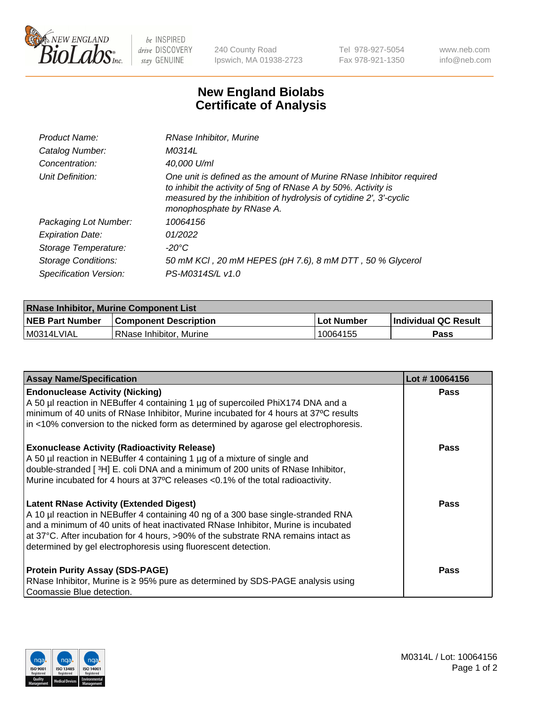

 $be$  INSPIRED drive DISCOVERY stay GENUINE

240 County Road Ipswich, MA 01938-2723 Tel 978-927-5054 Fax 978-921-1350 www.neb.com info@neb.com

## **New England Biolabs Certificate of Analysis**

| Product Name:           | RNase Inhibitor, Murine                                                                                                                                                                                                                  |
|-------------------------|------------------------------------------------------------------------------------------------------------------------------------------------------------------------------------------------------------------------------------------|
| Catalog Number:         | M0314L                                                                                                                                                                                                                                   |
| Concentration:          | 40,000 U/ml                                                                                                                                                                                                                              |
| Unit Definition:        | One unit is defined as the amount of Murine RNase Inhibitor required<br>to inhibit the activity of 5ng of RNase A by 50%. Activity is<br>measured by the inhibition of hydrolysis of cytidine 2', 3'-cyclic<br>monophosphate by RNase A. |
| Packaging Lot Number:   | 10064156                                                                                                                                                                                                                                 |
| <b>Expiration Date:</b> | 01/2022                                                                                                                                                                                                                                  |
| Storage Temperature:    | -20°C                                                                                                                                                                                                                                    |
| Storage Conditions:     | 50 mM KCI, 20 mM HEPES (pH 7.6), 8 mM DTT, 50 % Glycerol                                                                                                                                                                                 |
| Specification Version:  | PS-M0314S/L v1.0                                                                                                                                                                                                                         |

| <b>RNase Inhibitor, Murine Component List</b> |                              |            |                             |  |
|-----------------------------------------------|------------------------------|------------|-----------------------------|--|
| <b>NEB Part Number</b>                        | <b>Component Description</b> | Lot Number | <b>Individual QC Result</b> |  |
| M0314LVIAL                                    | RNase Inhibitor, Murine      | 10064155   | Pass                        |  |

| <b>Assay Name/Specification</b>                                                                                                                                                                                                                                                                                                                                                   | Lot #10064156 |
|-----------------------------------------------------------------------------------------------------------------------------------------------------------------------------------------------------------------------------------------------------------------------------------------------------------------------------------------------------------------------------------|---------------|
| <b>Endonuclease Activity (Nicking)</b><br>A 50 µl reaction in NEBuffer 4 containing 1 µg of supercoiled PhiX174 DNA and a<br>minimum of 40 units of RNase Inhibitor, Murine incubated for 4 hours at 37°C results<br>in <10% conversion to the nicked form as determined by agarose gel electrophoresis.                                                                          | Pass          |
| <b>Exonuclease Activity (Radioactivity Release)</b><br>A 50 µl reaction in NEBuffer 4 containing 1 µg of a mixture of single and<br>double-stranded [3H] E. coli DNA and a minimum of 200 units of RNase Inhibitor,<br>Murine incubated for 4 hours at 37°C releases <0.1% of the total radioactivity.                                                                            | <b>Pass</b>   |
| <b>Latent RNase Activity (Extended Digest)</b><br>A 10 µl reaction in NEBuffer 4 containing 40 ng of a 300 base single-stranded RNA<br>and a minimum of 40 units of heat inactivated RNase Inhibitor, Murine is incubated<br>at 37°C. After incubation for 4 hours, >90% of the substrate RNA remains intact as<br>determined by gel electrophoresis using fluorescent detection. | <b>Pass</b>   |
| <b>Protein Purity Assay (SDS-PAGE)</b><br>RNase Inhibitor, Murine is ≥ 95% pure as determined by SDS-PAGE analysis using<br>Coomassie Blue detection.                                                                                                                                                                                                                             | <b>Pass</b>   |